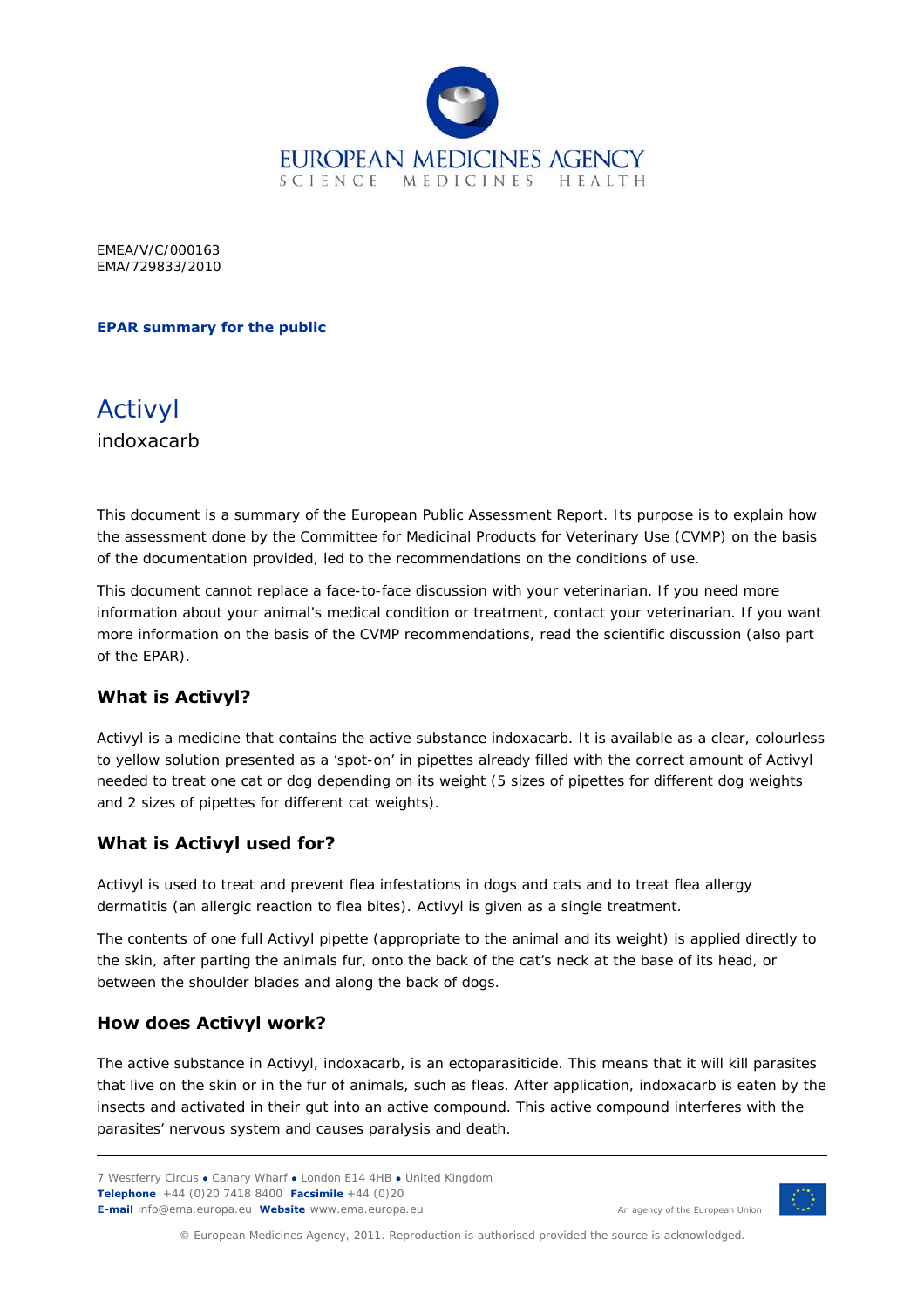

EMEA/V/C/000163 EMA/729833/2010

#### **EPAR summary for the public**



This document is a summary of the European Public Assessment Report. Its purpose is to explain how the assessment done by the Committee for Medicinal Products for Veterinary Use (CVMP) on the basis of the documentation provided, led to the recommendations on the conditions of use.

This document cannot replace a face-to-face discussion with your veterinarian. If you need more information about your animal's medical condition or treatment, contact your veterinarian. If you want more information on the basis of the CVMP recommendations, read the scientific discussion (also part of the EPAR).

## **What is Activyl?**

Activyl is a medicine that contains the active substance indoxacarb. It is available as a clear, colourless to yellow solution presented as a 'spot-on' in pipettes already filled with the correct amount of Activyl needed to treat one cat or dog depending on its weight (5 sizes of pipettes for different dog weights and 2 sizes of pipettes for different cat weights).

#### **What is Activyl used for?**

Activyl is used to treat and prevent flea infestations in dogs and cats and to treat flea allergy dermatitis (an allergic reaction to flea bites). Activyl is given as a single treatment.

The contents of one full Activyl pipette (appropriate to the animal and its weight) is applied directly to the skin, after parting the animals fur, onto the back of the cat's neck at the base of its head, or between the shoulder blades and along the back of dogs.

#### **How does Activyl work?**

The active substance in Activyl, indoxacarb, is an ectoparasiticide. This means that it will kill parasites that live on the skin or in the fur of animals, such as fleas. After application, indoxacarb is eaten by the insects and activated in their gut into an active compound. This active compound interferes with the parasites' nervous system and causes paralysis and death.

<sup>7</sup> Westferry Circus **●** Canary Wharf **●** London E14 4HB **●** United Kingdom **Telephone** +44 (0)20 7418 8400 **Facsimile** +44 (0)20 **E-mail** info@ema.europa.eu **Website** www.ema.europa.eu An agency of the European Union



© European Medicines Agency, 2011. Reproduction is authorised provided the source is acknowledged.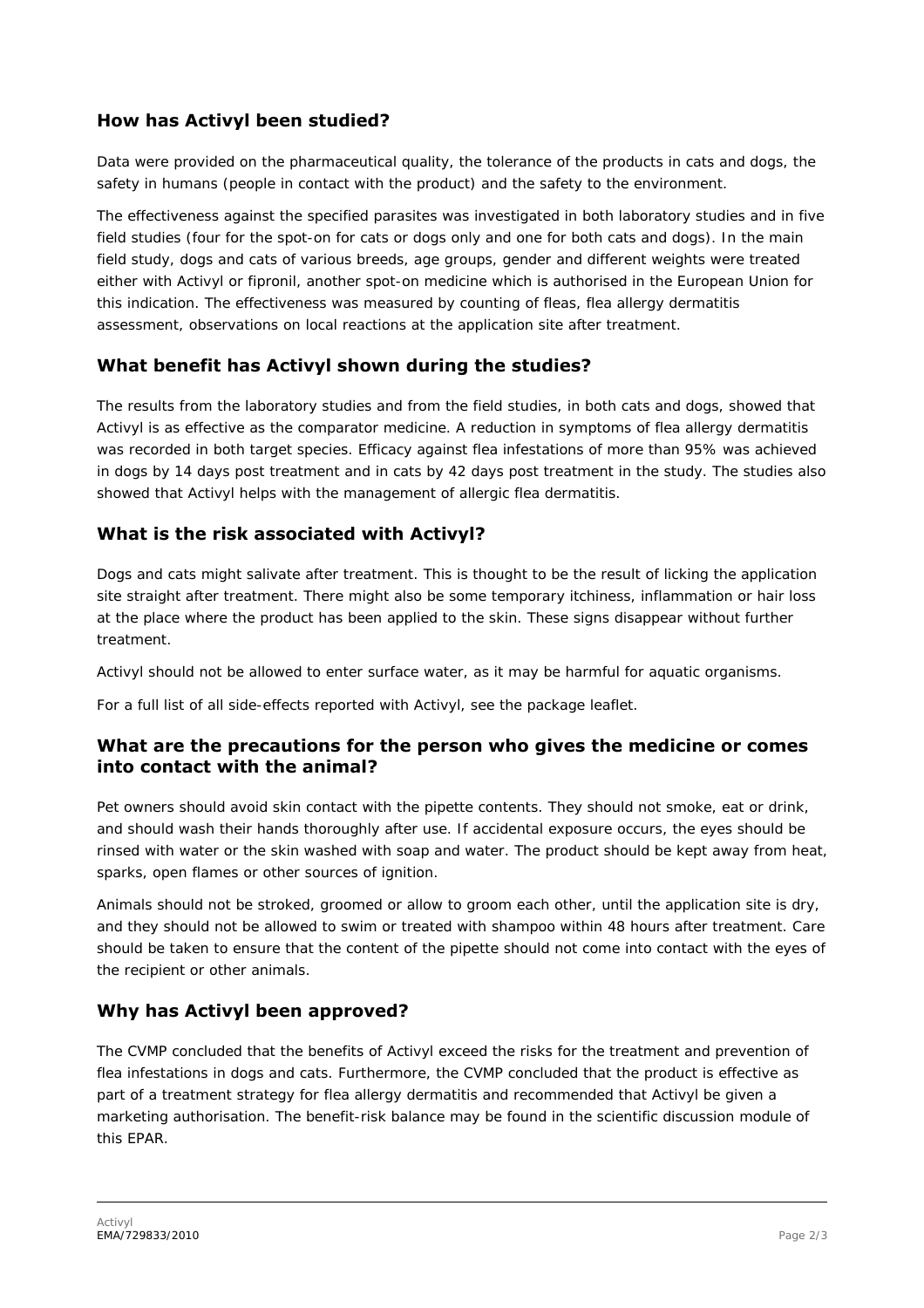# **How has Activyl been studied?**

Data were provided on the pharmaceutical quality, the tolerance of the products in cats and dogs, the safety in humans (people in contact with the product) and the safety to the environment.

The effectiveness against the specified parasites was investigated in both laboratory studies and in five field studies (four for the spot-on for cats or dogs only and one for both cats and dogs). In the main field study, dogs and cats of various breeds, age groups, gender and different weights were treated either with Activyl or fipronil, another spot-on medicine which is authorised in the European Union for this indication. The effectiveness was measured by counting of fleas, flea allergy dermatitis assessment, observations on local reactions at the application site after treatment.

## **What benefit has Activyl shown during the studies?**

The results from the laboratory studies and from the field studies, in both cats and dogs, showed that Activyl is as effective as the comparator medicine. A reduction in symptoms of flea allergy dermatitis was recorded in both target species. Efficacy against flea infestations of more than 95% was achieved in dogs by 14 days post treatment and in cats by 42 days post treatment in the study. The studies also showed that Activyl helps with the management of allergic flea dermatitis.

### **What is the risk associated with Activyl?**

Dogs and cats might salivate after treatment. This is thought to be the result of licking the application site straight after treatment. There might also be some temporary itchiness, inflammation or hair loss at the place where the product has been applied to the skin. These signs disappear without further treatment.

Activyl should not be allowed to enter surface water, as it may be harmful for aquatic organisms.

For a full list of all side-effects reported with Activyl, see the package leaflet.

### **What are the precautions for the person who gives the medicine or comes into contact with the animal?**

Pet owners should avoid skin contact with the pipette contents. They should not smoke, eat or drink, and should wash their hands thoroughly after use. If accidental exposure occurs, the eyes should be rinsed with water or the skin washed with soap and water. The product should be kept away from heat, sparks, open flames or other sources of ignition.

Animals should not be stroked, groomed or allow to groom each other, until the application site is dry, and they should not be allowed to swim or treated with shampoo within 48 hours after treatment. Care should be taken to ensure that the content of the pipette should not come into contact with the eyes of the recipient or other animals.

## **Why has Activyl been approved?**

The CVMP concluded that the benefits of Activyl exceed the risks for the treatment and prevention of flea infestations in dogs and cats. Furthermore, the CVMP concluded that the product is effective as part of a treatment strategy for flea allergy dermatitis and recommended that Activyl be given a marketing authorisation. The benefit-risk balance may be found in the scientific discussion module of this EPAR.